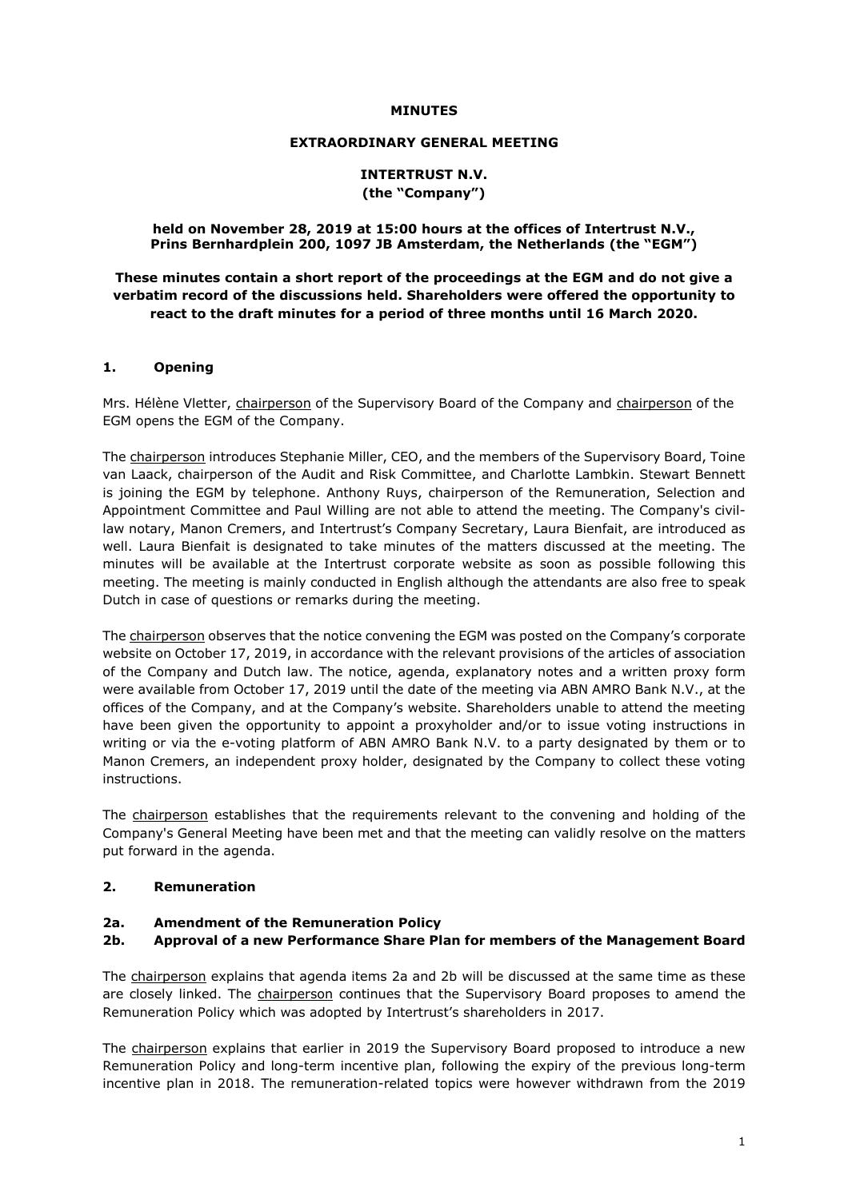#### **MINUTES**

#### **EXTRAORDINARY GENERAL MEETING**

## **INTERTRUST N.V. (the "Company")**

#### **held on November 28, 2019 at 15:00 hours at the offices of Intertrust N.V., Prins Bernhardplein 200, 1097 JB Amsterdam, the Netherlands (the "EGM")**

## **These minutes contain a short report of the proceedings at the EGM and do not give a verbatim record of the discussions held. Shareholders were offered the opportunity to react to the draft minutes for a period of three months until 16 March 2020.**

### **1. Opening**

Mrs. Hélène Vletter, chairperson of the Supervisory Board of the Company and chairperson of the EGM opens the EGM of the Company.

The chairperson introduces Stephanie Miller, CEO, and the members of the Supervisory Board, Toine van Laack, chairperson of the Audit and Risk Committee, and Charlotte Lambkin. Stewart Bennett is joining the EGM by telephone. Anthony Ruys, chairperson of the Remuneration, Selection and Appointment Committee and Paul Willing are not able to attend the meeting. The Company's civillaw notary, Manon Cremers, and Intertrust's Company Secretary, Laura Bienfait, are introduced as well. Laura Bienfait is designated to take minutes of the matters discussed at the meeting. The minutes will be available at the Intertrust corporate website as soon as possible following this meeting. The meeting is mainly conducted in English although the attendants are also free to speak Dutch in case of questions or remarks during the meeting.

The chairperson observes that the notice convening the EGM was posted on the Company's corporate website on October 17, 2019, in accordance with the relevant provisions of the articles of association of the Company and Dutch law. The notice, agenda, explanatory notes and a written proxy form were available from October 17, 2019 until the date of the meeting via ABN AMRO Bank N.V., at the offices of the Company, and at the Company's website. Shareholders unable to attend the meeting have been given the opportunity to appoint a proxyholder and/or to issue voting instructions in writing or via the e-voting platform of ABN AMRO Bank N.V. to a party designated by them or to Manon Cremers, an independent proxy holder, designated by the Company to collect these voting instructions.

The chairperson establishes that the requirements relevant to the convening and holding of the Company's General Meeting have been met and that the meeting can validly resolve on the matters put forward in the agenda.

#### **2. Remuneration**

#### **2a. Amendment of the Remuneration Policy**

#### **2b. Approval of a new Performance Share Plan for members of the Management Board**

The chairperson explains that agenda items 2a and 2b will be discussed at the same time as these are closely linked. The chairperson continues that the Supervisory Board proposes to amend the Remuneration Policy which was adopted by Intertrust's shareholders in 2017.

The chairperson explains that earlier in 2019 the Supervisory Board proposed to introduce a new Remuneration Policy and long-term incentive plan, following the expiry of the previous long-term incentive plan in 2018. The remuneration-related topics were however withdrawn from the 2019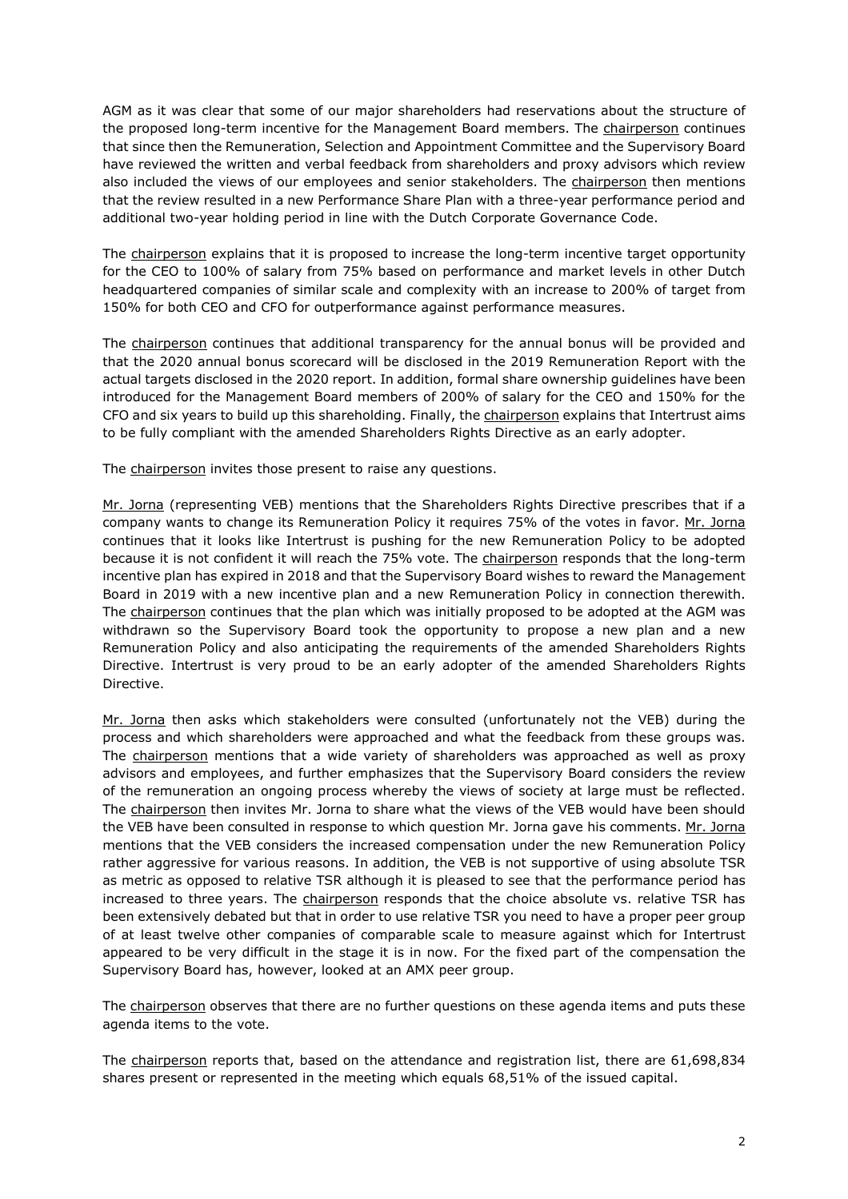AGM as it was clear that some of our major shareholders had reservations about the structure of the proposed long-term incentive for the Management Board members. The chairperson continues that since then the Remuneration, Selection and Appointment Committee and the Supervisory Board have reviewed the written and verbal feedback from shareholders and proxy advisors which review also included the views of our employees and senior stakeholders. The chairperson then mentions that the review resulted in a new Performance Share Plan with a three-year performance period and additional two-year holding period in line with the Dutch Corporate Governance Code.

The chairperson explains that it is proposed to increase the long-term incentive target opportunity for the CEO to 100% of salary from 75% based on performance and market levels in other Dutch headquartered companies of similar scale and complexity with an increase to 200% of target from 150% for both CEO and CFO for outperformance against performance measures.

The chairperson continues that additional transparency for the annual bonus will be provided and that the 2020 annual bonus scorecard will be disclosed in the 2019 Remuneration Report with the actual targets disclosed in the 2020 report. In addition, formal share ownership guidelines have been introduced for the Management Board members of 200% of salary for the CEO and 150% for the CFO and six years to build up this shareholding. Finally, the chairperson explains that Intertrust aims to be fully compliant with the amended Shareholders Rights Directive as an early adopter.

The chairperson invites those present to raise any questions.

Mr. Jorna (representing VEB) mentions that the Shareholders Rights Directive prescribes that if a company wants to change its Remuneration Policy it requires 75% of the votes in favor. Mr. Jorna continues that it looks like Intertrust is pushing for the new Remuneration Policy to be adopted because it is not confident it will reach the 75% vote. The chairperson responds that the long-term incentive plan has expired in 2018 and that the Supervisory Board wishes to reward the Management Board in 2019 with a new incentive plan and a new Remuneration Policy in connection therewith. The chairperson continues that the plan which was initially proposed to be adopted at the AGM was withdrawn so the Supervisory Board took the opportunity to propose a new plan and a new Remuneration Policy and also anticipating the requirements of the amended Shareholders Rights Directive. Intertrust is very proud to be an early adopter of the amended Shareholders Rights Directive.

Mr. Jorna then asks which stakeholders were consulted (unfortunately not the VEB) during the process and which shareholders were approached and what the feedback from these groups was. The chairperson mentions that a wide variety of shareholders was approached as well as proxy advisors and employees, and further emphasizes that the Supervisory Board considers the review of the remuneration an ongoing process whereby the views of society at large must be reflected. The chairperson then invites Mr. Jorna to share what the views of the VEB would have been should the VEB have been consulted in response to which question Mr. Jorna gave his comments. Mr. Jorna mentions that the VEB considers the increased compensation under the new Remuneration Policy rather aggressive for various reasons. In addition, the VEB is not supportive of using absolute TSR as metric as opposed to relative TSR although it is pleased to see that the performance period has increased to three years. The chairperson responds that the choice absolute vs. relative TSR has been extensively debated but that in order to use relative TSR you need to have a proper peer group of at least twelve other companies of comparable scale to measure against which for Intertrust appeared to be very difficult in the stage it is in now. For the fixed part of the compensation the Supervisory Board has, however, looked at an AMX peer group.

The chairperson observes that there are no further questions on these agenda items and puts these agenda items to the vote.

The chairperson reports that, based on the attendance and registration list, there are 61,698,834 shares present or represented in the meeting which equals 68,51% of the issued capital.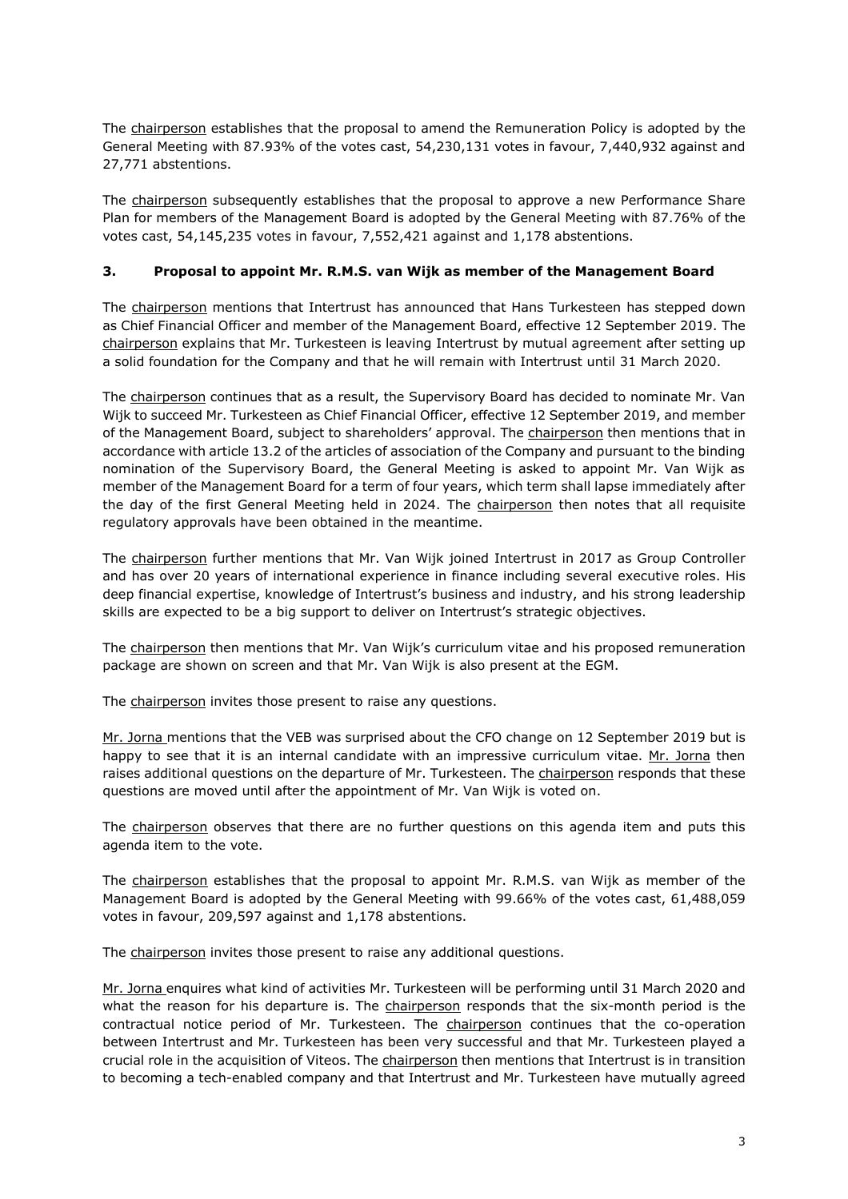The chairperson establishes that the proposal to amend the Remuneration Policy is adopted by the General Meeting with 87.93% of the votes cast, 54,230,131 votes in favour, 7,440,932 against and 27,771 abstentions.

The chairperson subsequently establishes that the proposal to approve a new Performance Share Plan for members of the Management Board is adopted by the General Meeting with 87.76% of the votes cast, 54,145,235 votes in favour, 7,552,421 against and 1,178 abstentions.

## **3. Proposal to appoint Mr. R.M.S. van Wijk as member of the Management Board**

The chairperson mentions that Intertrust has announced that Hans Turkesteen has stepped down as Chief Financial Officer and member of the Management Board, effective 12 September 2019. The chairperson explains that Mr. Turkesteen is leaving Intertrust by mutual agreement after setting up a solid foundation for the Company and that he will remain with Intertrust until 31 March 2020.

The chairperson continues that as a result, the Supervisory Board has decided to nominate Mr. Van Wijk to succeed Mr. Turkesteen as Chief Financial Officer, effective 12 September 2019, and member of the Management Board, subject to shareholders' approval. The chairperson then mentions that in accordance with article 13.2 of the articles of association of the Company and pursuant to the binding nomination of the Supervisory Board, the General Meeting is asked to appoint Mr. Van Wijk as member of the Management Board for a term of four years, which term shall lapse immediately after the day of the first General Meeting held in 2024. The chairperson then notes that all requisite regulatory approvals have been obtained in the meantime.

The chairperson further mentions that Mr. Van Wijk joined Intertrust in 2017 as Group Controller and has over 20 years of international experience in finance including several executive roles. His deep financial expertise, knowledge of Intertrust's business and industry, and his strong leadership skills are expected to be a big support to deliver on Intertrust's strategic objectives.

The chairperson then mentions that Mr. Van Wijk's curriculum vitae and his proposed remuneration package are shown on screen and that Mr. Van Wijk is also present at the EGM.

The chairperson invites those present to raise any questions.

Mr. Jorna mentions that the VEB was surprised about the CFO change on 12 September 2019 but is happy to see that it is an internal candidate with an impressive curriculum vitae. Mr. Jorna then raises additional questions on the departure of Mr. Turkesteen. The chairperson responds that these questions are moved until after the appointment of Mr. Van Wijk is voted on.

The chairperson observes that there are no further questions on this agenda item and puts this agenda item to the vote.

The chairperson establishes that the proposal to appoint Mr. R.M.S. van Wijk as member of the Management Board is adopted by the General Meeting with 99.66% of the votes cast, 61,488,059 votes in favour, 209,597 against and 1,178 abstentions.

The chairperson invites those present to raise any additional questions.

Mr. Jorna enquires what kind of activities Mr. Turkesteen will be performing until 31 March 2020 and what the reason for his departure is. The chairperson responds that the six-month period is the contractual notice period of Mr. Turkesteen. The chairperson continues that the co-operation between Intertrust and Mr. Turkesteen has been very successful and that Mr. Turkesteen played a crucial role in the acquisition of Viteos. The *chairperson* then mentions that Intertrust is in transition to becoming a tech-enabled company and that Intertrust and Mr. Turkesteen have mutually agreed